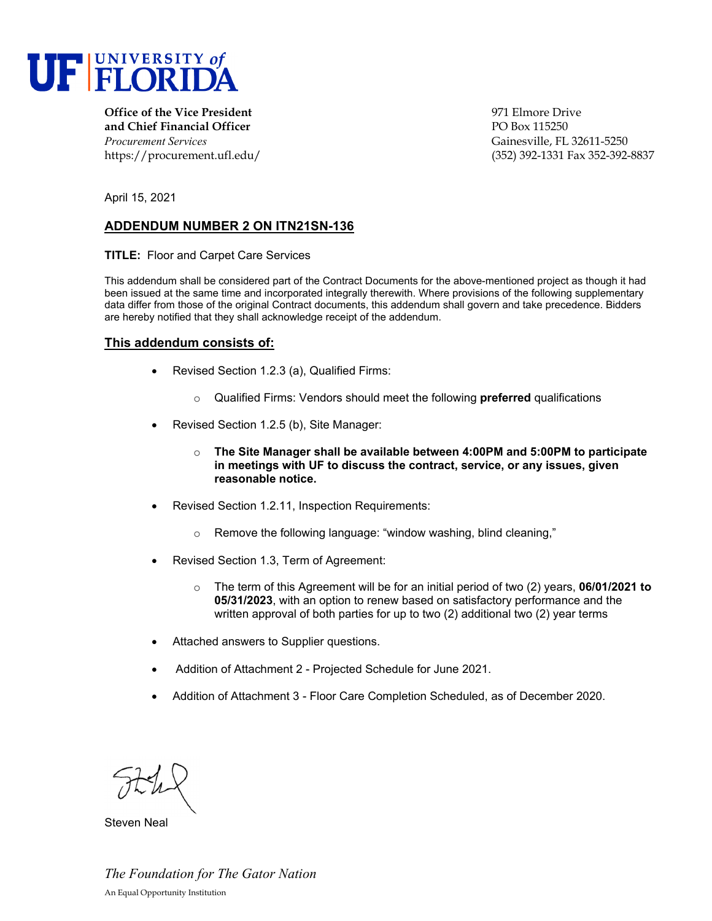

**Office of the Vice President Office of the Vice President Office of the Vice President Office of the Vice President Office of the Vice President Office of the Vice President and Chief Financial Officer** PO Box 115250 *Procurement Services* Gainesville, FL 32611-5250

https://procurement.ufl.edu/ (352) 392-1331 Fax 352-392-8837

April 15, 2021

## **ADDENDUM NUMBER 2 ON ITN21SN-136**

**TITLE:** Floor and Carpet Care Services

This addendum shall be considered part of the Contract Documents for the above-mentioned project as though it had been issued at the same time and incorporated integrally therewith. Where provisions of the following supplementary data differ from those of the original Contract documents, this addendum shall govern and take precedence. Bidders are hereby notified that they shall acknowledge receipt of the addendum.

#### **This addendum consists of:**

- Revised Section 1.2.3 (a), Qualified Firms:
	- o Qualified Firms: Vendors should meet the following **preferred** qualifications
- Revised Section 1.2.5 (b), Site Manager:
	- o **The Site Manager shall be available between 4:00PM and 5:00PM to participate in meetings with UF to discuss the contract, service, or any issues, given reasonable notice.**
- Revised Section 1.2.11, Inspection Requirements:
	- o Remove the following language: "window washing, blind cleaning,"
- Revised Section 1.3, Term of Agreement:
	- o The term of this Agreement will be for an initial period of two (2) years, **06/01/2021 to 05/31/2023**, with an option to renew based on satisfactory performance and the written approval of both parties for up to two (2) additional two (2) year terms
- Attached answers to Supplier questions.
- Addition of Attachment 2 Projected Schedule for June 2021.
- Addition of Attachment 3 Floor Care Completion Scheduled, as of December 2020.

Steven Neal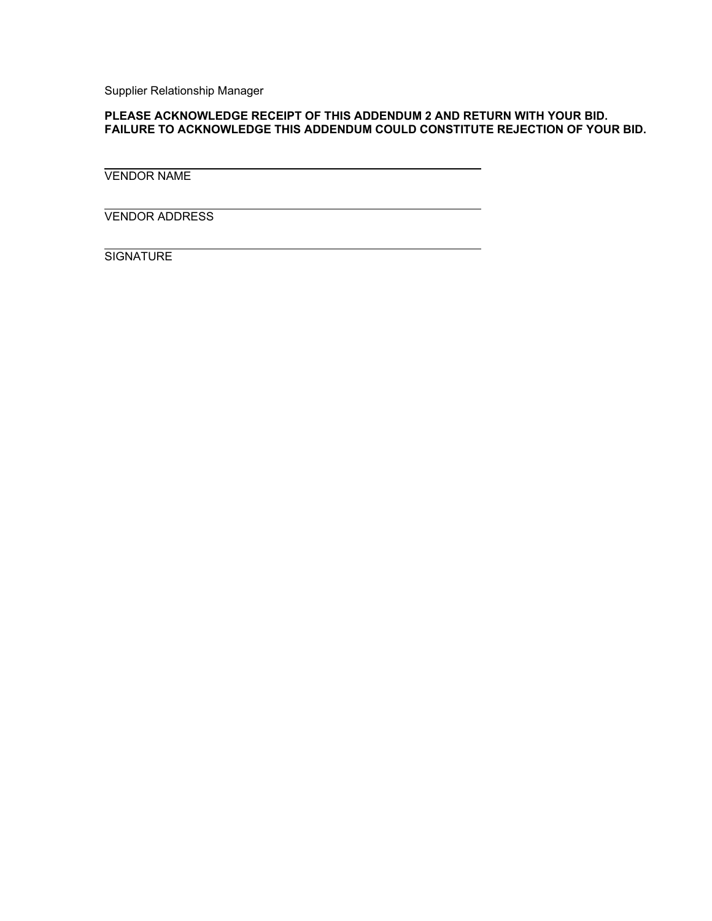Supplier Relationship Manager

## **PLEASE ACKNOWLEDGE RECEIPT OF THIS ADDENDUM 2 AND RETURN WITH YOUR BID. FAILURE TO ACKNOWLEDGE THIS ADDENDUM COULD CONSTITUTE REJECTION OF YOUR BID.**

VENDOR NAME

VENDOR ADDRESS

**SIGNATURE**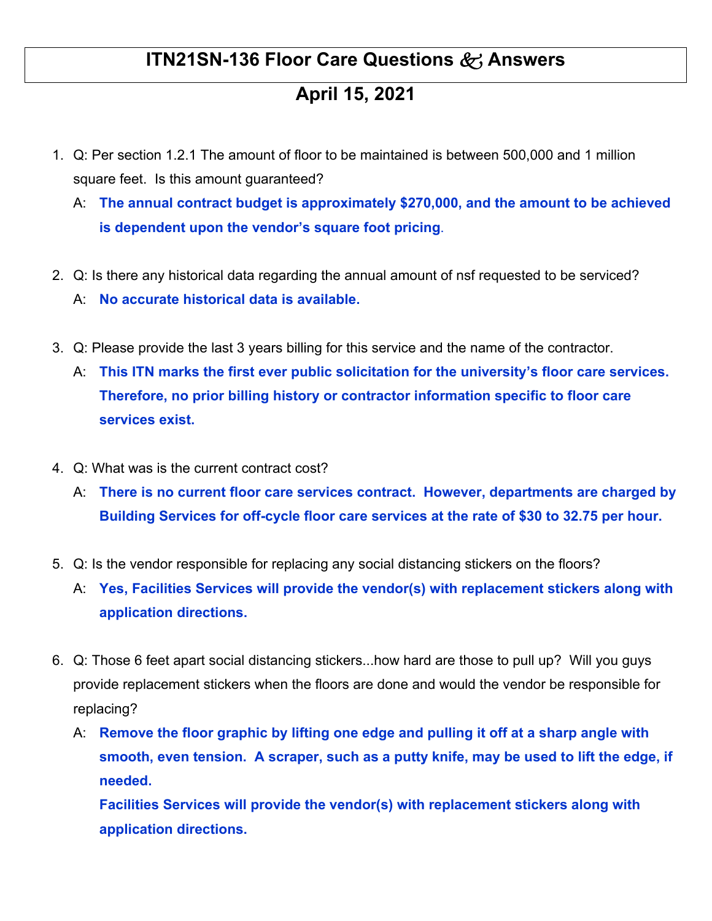## **ITN21SN-136 Floor Care Questions & Answers**

# **April 15, 2021**

- 1. Q: Per section 1.2.1 The amount of floor to be maintained is between 500,000 and 1 million square feet. Is this amount guaranteed?
	- A: **The annual contract budget is approximately \$270,000, and the amount to be achieved is dependent upon the vendor's square foot pricing**.
- 2. Q: Is there any historical data regarding the annual amount of nsf requested to be serviced? A: **No accurate historical data is available.**
- 3. Q: Please provide the last 3 years billing for this service and the name of the contractor.
	- A: **This ITN marks the first ever public solicitation for the university's floor care services. Therefore, no prior billing history or contractor information specific to floor care services exist.**
- 4. Q: What was is the current contract cost?
	- A: **There is no current floor care services contract. However, departments are charged by Building Services for off-cycle floor care services at the rate of \$30 to 32.75 per hour.**
- 5. Q: Is the vendor responsible for replacing any social distancing stickers on the floors?
	- A: **Yes, Facilities Services will provide the vendor(s) with replacement stickers along with application directions.**
- 6. Q: Those 6 feet apart social distancing stickers...how hard are those to pull up? Will you guys provide replacement stickers when the floors are done and would the vendor be responsible for replacing?
	- A: **Remove the floor graphic by lifting one edge and pulling it off at a sharp angle with smooth, even tension. A scraper, such as a putty knife, may be used to lift the edge, if needed.**

**Facilities Services will provide the vendor(s) with replacement stickers along with application directions.**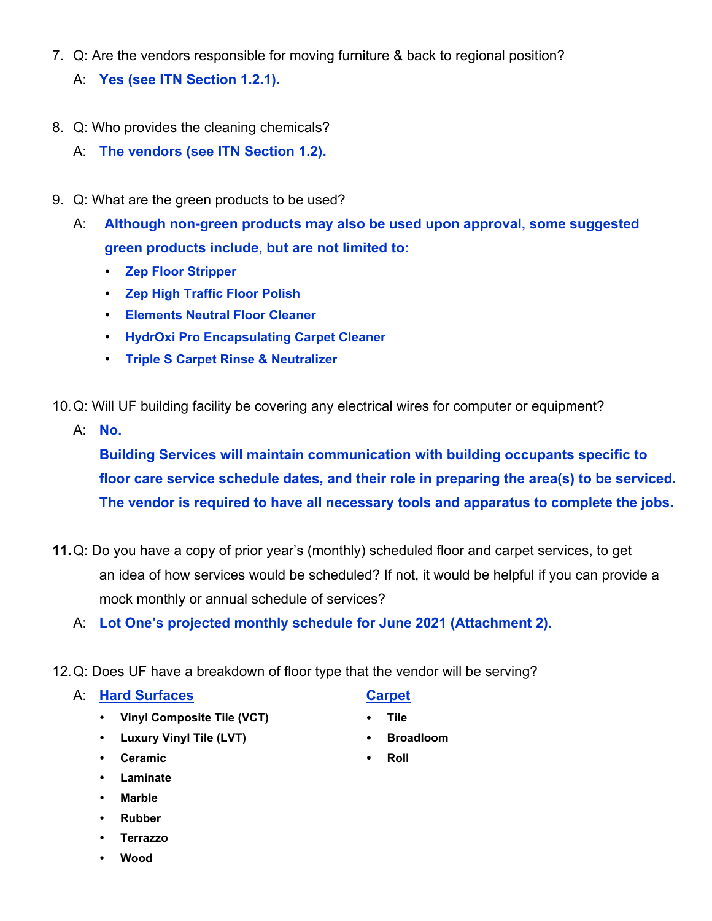- 7. Q: Are the vendors responsible for moving furniture & back to regional position?
	- A: **Yes (see ITN Section 1.2.1).**
- 8. Q: Who provides the cleaning chemicals?
	- A: **The vendors (see ITN Section 1.2).**
- 9. Q: What are the green products to be used?
	- A: **Although non-green products may also be used upon approval, some suggested green products include, but are not limited to:** 
		- **Zep Floor Stripper**
		- **Zep High Traffic Floor Polish**
		- **Elements Neutral Floor Cleaner**
		- **HydrOxi Pro Encapsulating Carpet Cleaner**
		- **Triple S Carpet Rinse & Neutralizer**
- 10. Q: Will UF building facility be covering any electrical wires for computer or equipment?
	- A: **No.**

**Building Services will maintain communication with building occupants specific to floor care service schedule dates, and their role in preparing the area(s) to be serviced. The vendor is required to have all necessary tools and apparatus to complete the jobs.**

- **11.** Q: Do you have a copy of prior year's (monthly) scheduled floor and carpet services, to get an idea of how services would be scheduled? If not, it would be helpful if you can provide a mock monthly or annual schedule of services?
	- A: **Lot One's projected monthly schedule for June 2021 (Attachment 2).**
- 12. Q: Does UF have a breakdown of floor type that the vendor will be serving?

## A: Hard Surfaces **Carpet**

- **•** Vinyl Composite Tile (VCT) **•** Tile
- **•** Luxury Vinyl Tile (LVT) **•** Broadloom
- **•** Ceramic **•** Roll
- **Laminate**
- **Marble**
- **Rubber**
- **Terrazzo**
- **Wood**

- 
- 
-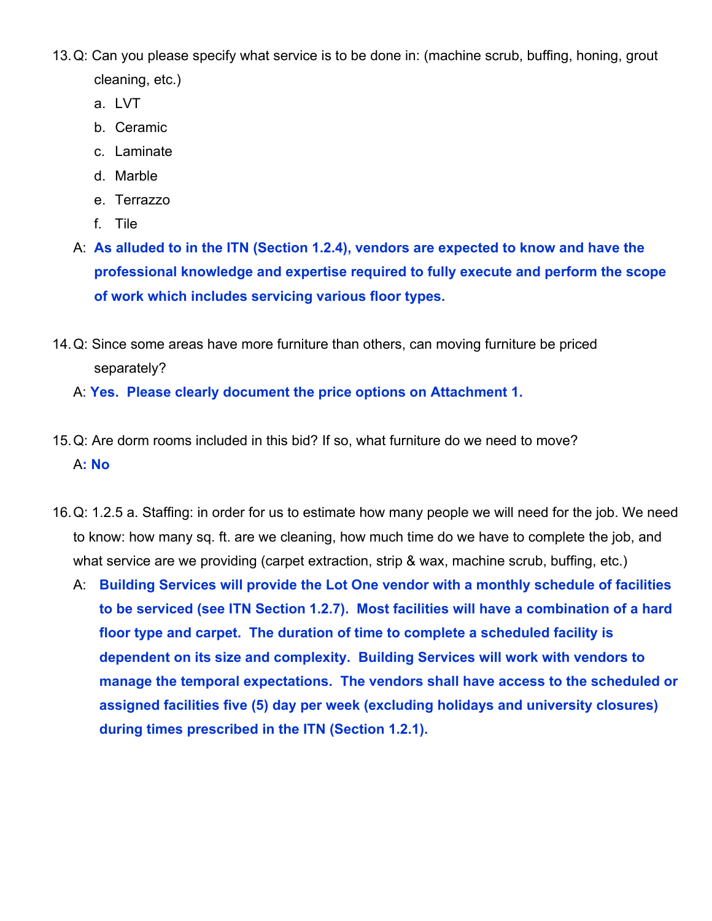- 13. Q: Can you please specify what service is to be done in: (machine scrub, buffing, honing, grout cleaning, etc.)
	- a. LVT
	- b. Ceramic
	- c. Laminate
	- d. Marble
	- e. Terrazzo
	- f. Tile
	- A: **As alluded to in the ITN (Section 1.2.4), vendors are expected to know and have the professional knowledge and expertise required to fully execute and perform the scope of work which includes servicing various floor types.**
- 14. Q: Since some areas have more furniture than others, can moving furniture be priced separately?
	- A: **Yes. Please clearly document the price options on Attachment 1.**
- 15. Q: Are dorm rooms included in this bid? If so, what furniture do we need to move? A**: No**
- 16. Q: 1.2.5 a. Staffing: in order for us to estimate how many people we will need for the job. We need to know: how many sq. ft. are we cleaning, how much time do we have to complete the job, and what service are we providing (carpet extraction, strip & wax, machine scrub, buffing, etc.)
	- A: **Building Services will provide the Lot One vendor with a monthly schedule of facilities to be serviced (see ITN Section 1.2.7). Most facilities will have a combination of a hard floor type and carpet. The duration of time to complete a scheduled facility is dependent on its size and complexity. Building Services will work with vendors to manage the temporal expectations. The vendors shall have access to the scheduled or assigned facilities five (5) day per week (excluding holidays and university closures) during times prescribed in the ITN (Section 1.2.1).**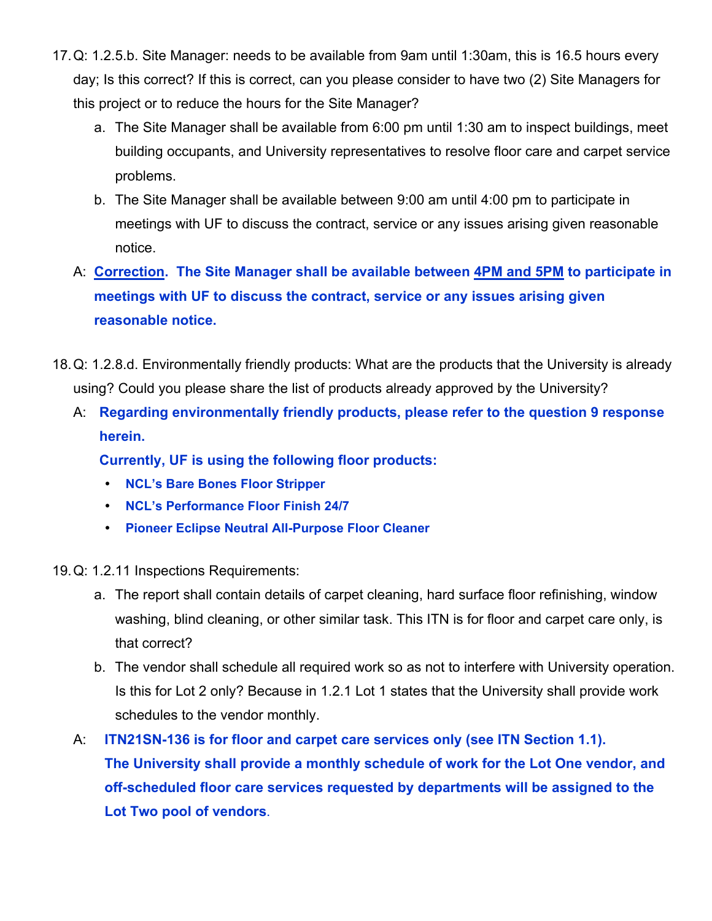- 17. Q: 1.2.5.b. Site Manager: needs to be available from 9am until 1:30am, this is 16.5 hours every day; Is this correct? If this is correct, can you please consider to have two (2) Site Managers for this project or to reduce the hours for the Site Manager?
	- a. The Site Manager shall be available from 6:00 pm until 1:30 am to inspect buildings, meet building occupants, and University representatives to resolve floor care and carpet service problems.
	- b. The Site Manager shall be available between 9:00 am until 4:00 pm to participate in meetings with UF to discuss the contract, service or any issues arising given reasonable notice.
	- A: **Correction. The Site Manager shall be available between 4PM and 5PM to participate in meetings with UF to discuss the contract, service or any issues arising given reasonable notice.**
- 18. Q: 1.2.8.d. Environmentally friendly products: What are the products that the University is already using? Could you please share the list of products already approved by the University?
	- A: **Regarding environmentally friendly products, please refer to the question 9 response herein.**

 **Currently, UF is using the following floor products:** 

- **NCL's Bare Bones Floor Stripper**
- **NCL's Performance Floor Finish 24/7**
- **Pioneer Eclipse Neutral All-Purpose Floor Cleaner**

19. Q: 1.2.11 Inspections Requirements:

- a. The report shall contain details of carpet cleaning, hard surface floor refinishing, window washing, blind cleaning, or other similar task. This ITN is for floor and carpet care only, is that correct?
- b. The vendor shall schedule all required work so as not to interfere with University operation. Is this for Lot 2 only? Because in 1.2.1 Lot 1 states that the University shall provide work schedules to the vendor monthly.
- A: **ITN21SN-136 is for floor and carpet care services only (see ITN Section 1.1). The University shall provide a monthly schedule of work for the Lot One vendor, and off-scheduled floor care services requested by departments will be assigned to the Lot Two pool of vendors**.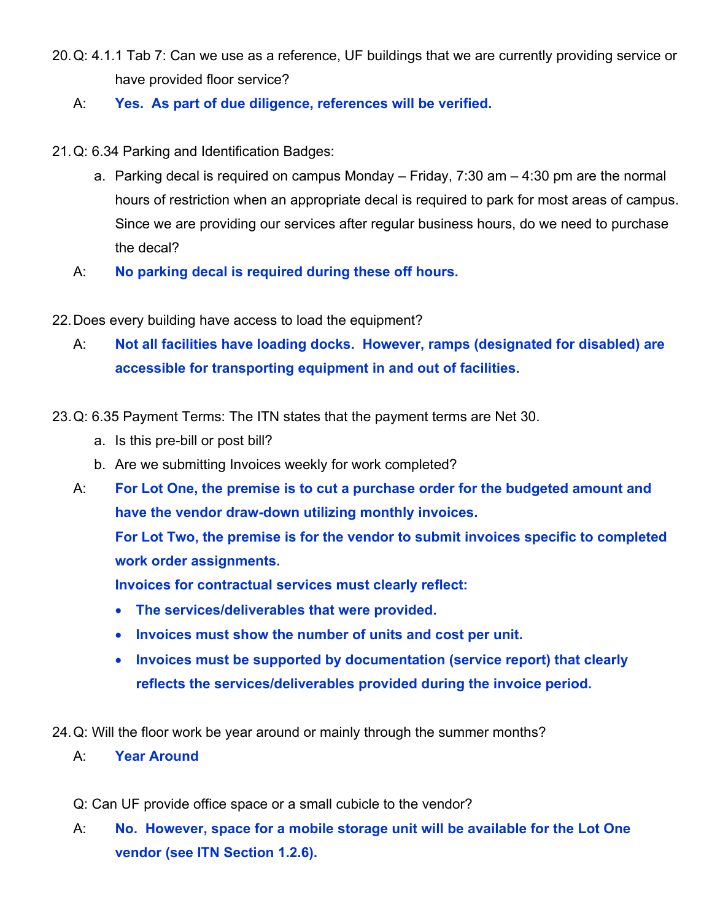- 20. Q: 4.1.1 Tab 7: Can we use as a reference, UF buildings that we are currently providing service or have provided floor service?
	- A: **Yes. As part of due diligence, references will be verified.**
- 21. Q: 6.34 Parking and Identification Badges:
	- a. Parking decal is required on campus Monday Friday,  $7:30$  am  $-4:30$  pm are the normal hours of restriction when an appropriate decal is required to park for most areas of campus. Since we are providing our services after regular business hours, do we need to purchase the decal?
	- A: **No parking decal is required during these off hours.**
- 22. Does every building have access to load the equipment?
	- A: **Not all facilities have loading docks. However, ramps (designated for disabled) are accessible for transporting equipment in and out of facilities.**
- 23. Q: 6.35 Payment Terms: The ITN states that the payment terms are Net 30.
	- a. Is this pre-bill or post bill?
	- b. Are we submitting Invoices weekly for work completed?
	- A: **For Lot One, the premise is to cut a purchase order for the budgeted amount and have the vendor draw-down utilizing monthly invoices.**

 **For Lot Two, the premise is for the vendor to submit invoices specific to completed work order assignments.** 

 **Invoices for contractual services must clearly reflect:** 

- **The services/deliverables that were provided.**
- **Invoices must show the number of units and cost per unit.**
- **Invoices must be supported by documentation (service report) that clearly reflects the services/deliverables provided during the invoice period.**
- 24. Q: Will the floor work be year around or mainly through the summer months?
	- A: **Year Around**
	- Q: Can UF provide office space or a small cubicle to the vendor?
	- A: **No. However, space for a mobile storage unit will be available for the Lot One vendor (see ITN Section 1.2.6).**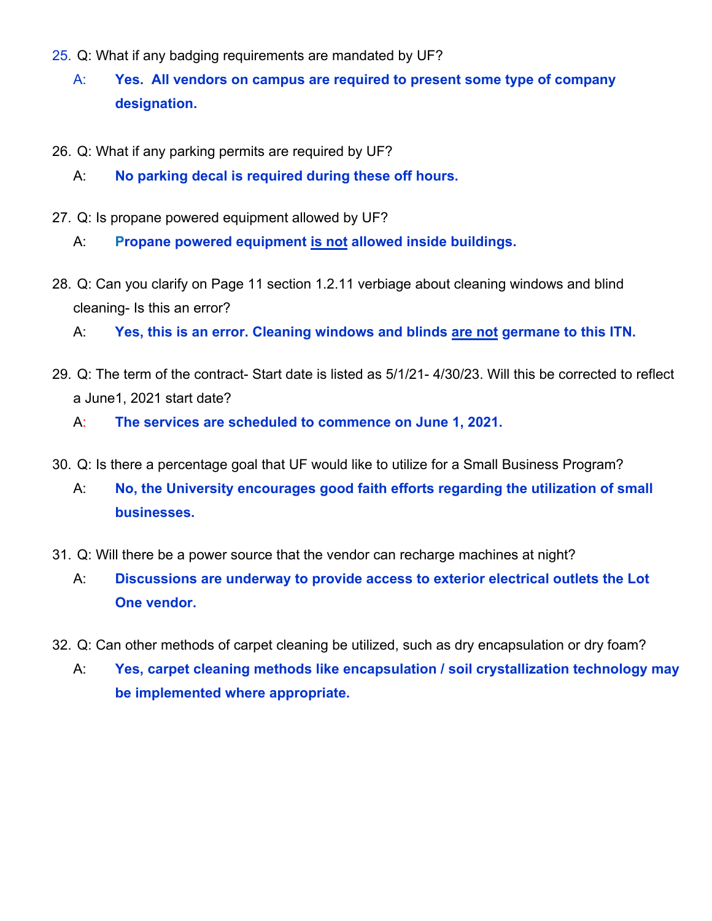- 25. Q: What if any badging requirements are mandated by UF?
	- A: **Yes. All vendors on campus are required to present some type of company designation.**
- 26. Q: What if any parking permits are required by UF?
	- A: **No parking decal is required during these off hours.**
- 27. Q: Is propane powered equipment allowed by UF?

A: **Propane powered equipment is not allowed inside buildings.**

28. Q: Can you clarify on Page 11 section 1.2.11 verbiage about cleaning windows and blind cleaning- Is this an error?

A: **Yes, this is an error. Cleaning windows and blinds are not germane to this ITN.** 

- 29. Q: The term of the contract- Start date is listed as 5/1/21- 4/30/23. Will this be corrected to reflect a June1, 2021 start date?
	- A: **The services are scheduled to commence on June 1, 2021.**
- 30. Q: Is there a percentage goal that UF would like to utilize for a Small Business Program?
	- A: **No, the University encourages good faith efforts regarding the utilization of small businesses.**
- 31. Q: Will there be a power source that the vendor can recharge machines at night?
	- A: **Discussions are underway to provide access to exterior electrical outlets the Lot One vendor.**
- 32. Q: Can other methods of carpet cleaning be utilized, such as dry encapsulation or dry foam?
	- A: **Yes, carpet cleaning methods like encapsulation / soil crystallization technology may be implemented where appropriate.**